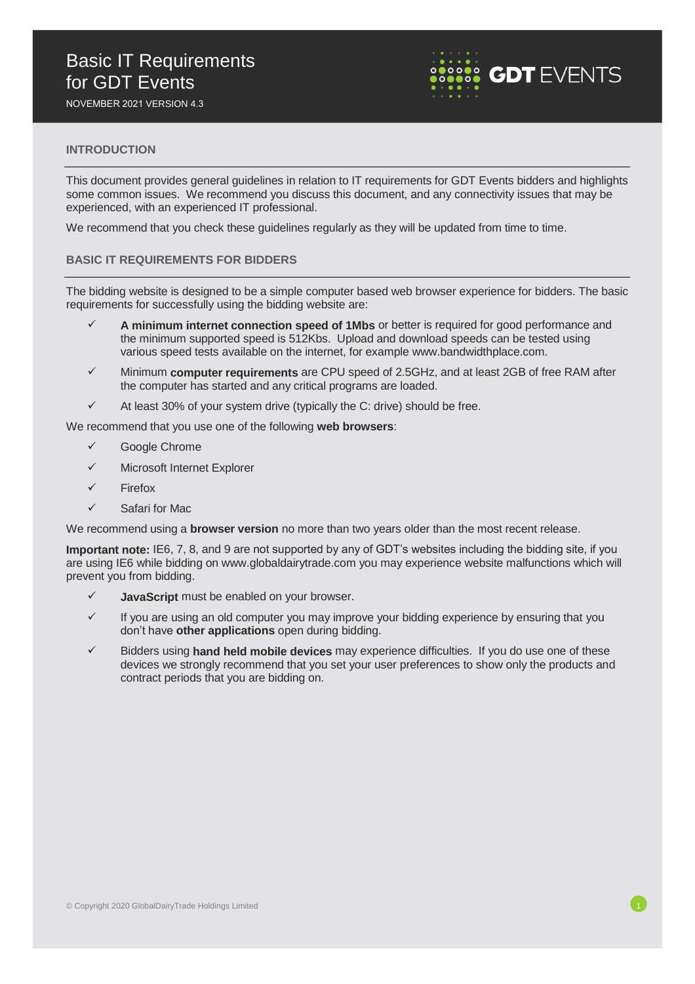# Basic IT Requirements for GDT Events

NOVEMBER 2021 VERSION 4.3



## **INTRODUCTION**

This document provides general guidelines in relation to IT requirements for GDT Events bidders and highlights some common issues. We recommend you discuss this document, and any connectivity issues that may be experienced, with an experienced IT professional.

We recommend that you check these guidelines regularly as they will be updated from time to time.

#### **BASIC IT REQUIREMENTS FOR BIDDERS**

The bidding website is designed to be a simple computer based web browser experience for bidders. The basic requirements for successfully using the bidding website are:

- A minimum internet connection speed of 1Mbs or better is required for good performance and the minimum supported speed is 512Kbs. Upload and download speeds can be tested using various speed tests available on the internet, for example www.bandwidthplace.com.
- ✓ Minimum **computer requirements** are CPU speed of 2.5GHz, and at least 2GB of free RAM after the computer has started and any critical programs are loaded.
- $\checkmark$  At least 30% of your system drive (typically the C: drive) should be free.

We recommend that you use one of the following **web browsers**:

- ✓ Google Chrome
- ✓ Microsoft Internet Explorer
- **Firefox**
- ✓ Safari for Mac

We recommend using a **browser version** no more than two years older than the most recent release.

**Important note:** IE6, 7, 8, and 9 are not supported by any of GDT's websites including the bidding site, if you are using IE6 while bidding on www.globaldairytrade.com you may experience website malfunctions which will prevent you from bidding.

- JavaScript must be enabled on your browser.
- $\checkmark$  If you are using an old computer you may improve your bidding experience by ensuring that you don't have **other applications** open during bidding.
- ✓ Bidders using **hand held mobile devices** may experience difficulties. If you do use one of these devices we strongly recommend that you set your user preferences to show only the products and contract periods that you are bidding on.